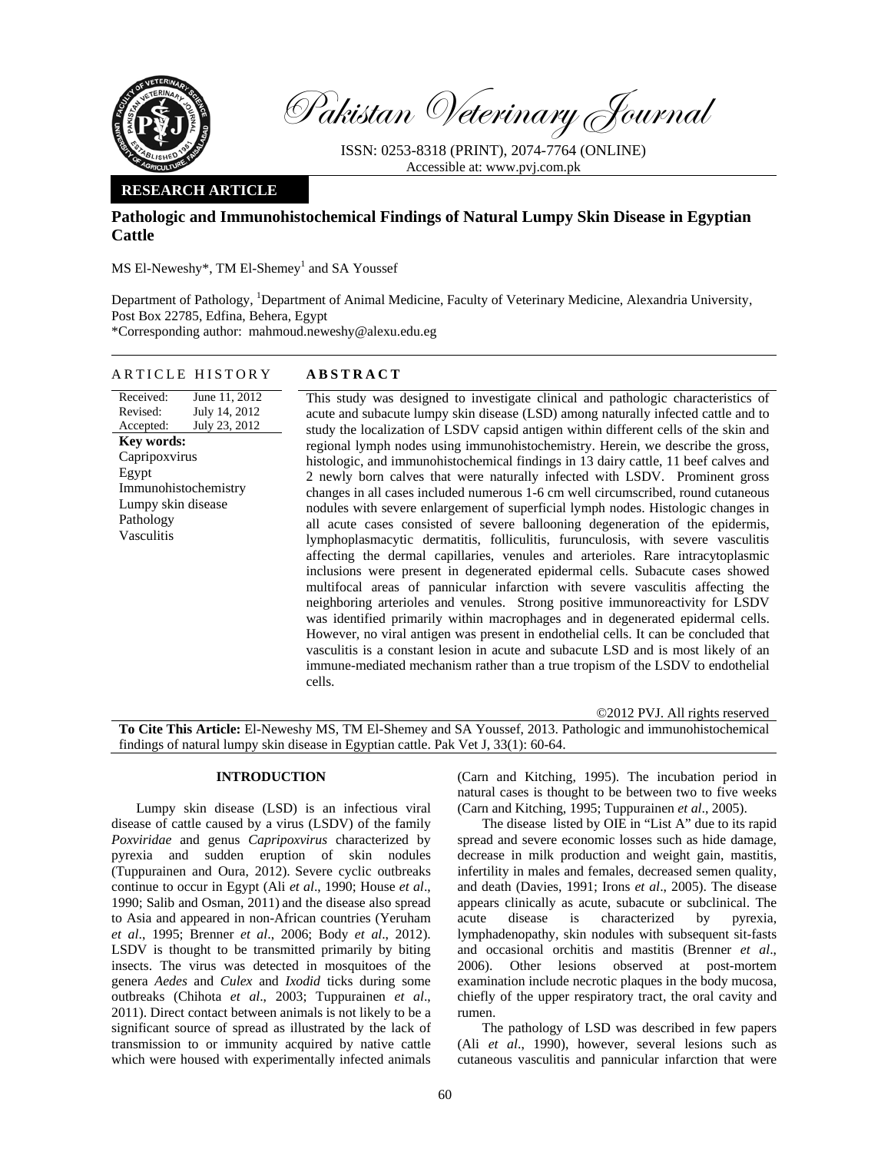

Pakistan Veterinary Journal

ISSN: 0253-8318 (PRINT), 2074-7764 (ONLINE) Accessible at: www.pvj.com.pk

# **RESEARCH ARTICLE**

# **Pathologic and Immunohistochemical Findings of Natural Lumpy Skin Disease in Egyptian Cattle**

 $MS$  El-Neweshy\*, TM El-Shemey<sup>1</sup> and SA Youssef

Department of Pathology, <sup>1</sup>Department of Animal Medicine, Faculty of Veterinary Medicine, Alexandria University, Post Box 22785, Edfina, Behera, Egypt \*Corresponding author: mahmoud.neweshy@alexu.edu.eg

### ARTICLE HISTORY **ABSTRACT**

Received: Revised: Accepted: June 11, 2012 July 14, 2012 July 23, 2012 **Key words:**  Capripoxvirus Egypt Immunohistochemistry Lumpy skin disease Pathology Vasculitis

This study was designed to investigate clinical and pathologic characteristics of acute and subacute lumpy skin disease (LSD) among naturally infected cattle and to study the localization of LSDV capsid antigen within different cells of the skin and regional lymph nodes using immunohistochemistry. Herein, we describe the gross, histologic, and immunohistochemical findings in 13 dairy cattle, 11 beef calves and 2 newly born calves that were naturally infected with LSDV. Prominent gross changes in all cases included numerous 1-6 cm well circumscribed, round cutaneous nodules with severe enlargement of superficial lymph nodes. Histologic changes in all acute cases consisted of severe ballooning degeneration of the epidermis, lymphoplasmacytic dermatitis, folliculitis, furunculosis, with severe vasculitis affecting the dermal capillaries, venules and arterioles. Rare intracytoplasmic inclusions were present in degenerated epidermal cells. Subacute cases showed multifocal areas of pannicular infarction with severe vasculitis affecting the neighboring arterioles and venules. Strong positive immunoreactivity for LSDV was identified primarily within macrophages and in degenerated epidermal cells. However, no viral antigen was present in endothelial cells. It can be concluded that vasculitis is a constant lesion in acute and subacute LSD and is most likely of an immune-mediated mechanism rather than a true tropism of the LSDV to endothelial cells.

©2012 PVJ. All rights reserved **To Cite This Article:** El-Neweshy MS, TM El-Shemey and SA Youssef, 2013. Pathologic and immunohistochemical findings of natural lumpy skin disease in Egyptian cattle. Pak Vet J, 33(1): 60-64.

### **INTRODUCTION**

Lumpy skin disease (LSD) is an infectious viral disease of cattle caused by a virus (LSDV) of the family *Poxviridae* and genus *Capripoxvirus* characterized by pyrexia and sudden eruption of skin nodules (Tuppurainen and Oura, 2012). Severe cyclic outbreaks continue to occur in Egypt (Ali *et al*., 1990; House *et al*., 1990; Salib and Osman, 2011) and the disease also spread to Asia and appeared in non-African countries (Yeruham *et al*., 1995; Brenner *et al*., 2006; Body *et al*., 2012). LSDV is thought to be transmitted primarily by biting insects. The virus was detected in mosquitoes of the genera *Aedes* and *Culex* and *Ixodid* ticks during some outbreaks (Chihota *et al*., 2003; Tuppurainen *et al*., 2011). Direct contact between animals is not likely to be a significant source of spread as illustrated by the lack of transmission to or immunity acquired by native cattle which were housed with experimentally infected animals (Carn and Kitching, 1995). The incubation period in natural cases is thought to be between two to five weeks (Carn and Kitching, 1995; Tuppurainen *et al*., 2005).

The disease listed by OIE in "List A" due to its rapid spread and severe economic losses such as hide damage, decrease in milk production and weight gain, mastitis, infertility in males and females, decreased semen quality, and death (Davies, 1991; Irons *et al*., 2005). The disease appears clinically as acute, subacute or subclinical. The acute disease is characterized by pyrexia, lymphadenopathy, skin nodules with subsequent sit-fasts and occasional orchitis and mastitis (Brenner *et al*., 2006). Other lesions observed at post-mortem examination include necrotic plaques in the body mucosa, chiefly of the upper respiratory tract, the oral cavity and rumen.

The pathology of LSD was described in few papers (Ali *et al*., 1990), however, several lesions such as cutaneous vasculitis and pannicular infarction that were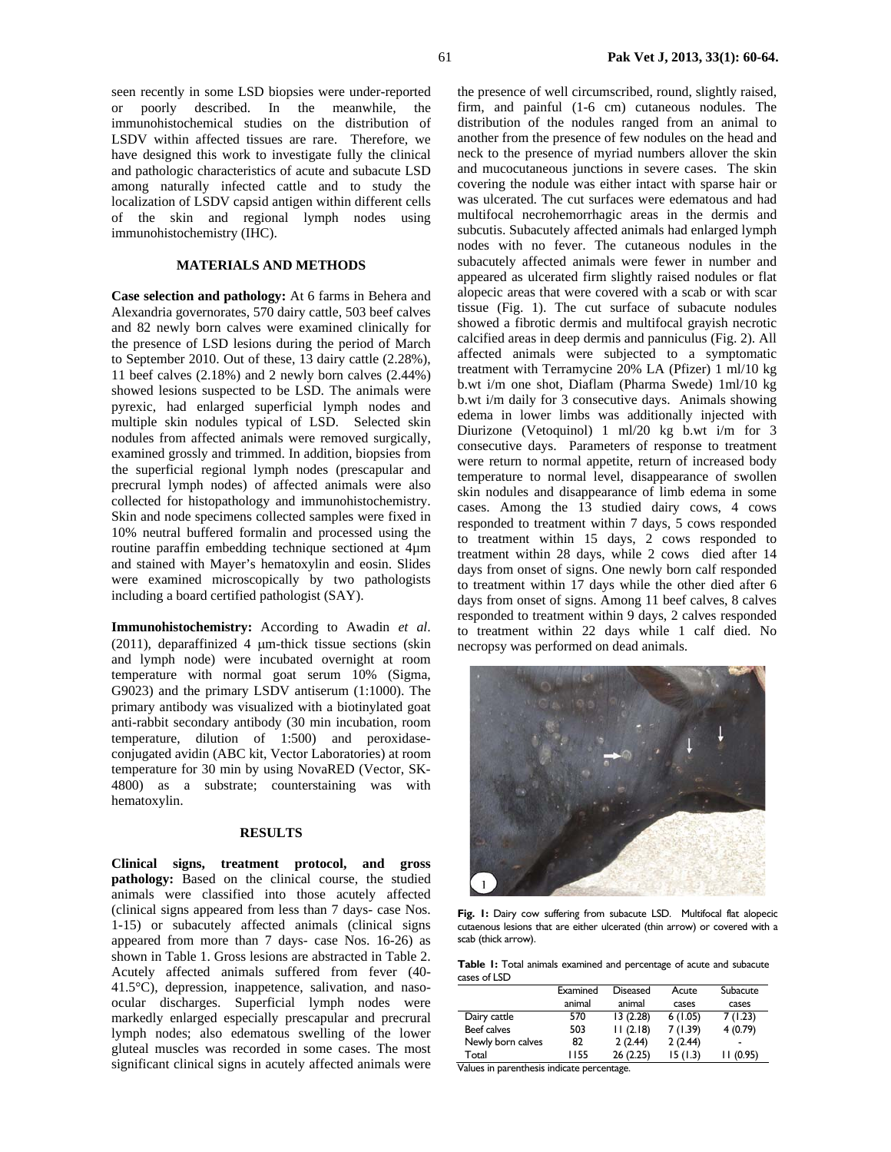seen recently in some LSD biopsies were under-reported or poorly described. In the meanwhile, the immunohistochemical studies on the distribution of LSDV within affected tissues are rare. Therefore, we have designed this work to investigate fully the clinical and pathologic characteristics of acute and subacute LSD among naturally infected cattle and to study the localization of LSDV capsid antigen within different cells of the skin and regional lymph nodes using immunohistochemistry (IHC).

## **MATERIALS AND METHODS**

**Case selection and pathology:** At 6 farms in Behera and Alexandria governorates, 570 dairy cattle, 503 beef calves and 82 newly born calves were examined clinically for the presence of LSD lesions during the period of March to September 2010. Out of these, 13 dairy cattle (2.28%), 11 beef calves (2.18%) and 2 newly born calves (2.44%) showed lesions suspected to be LSD. The animals were pyrexic, had enlarged superficial lymph nodes and multiple skin nodules typical of LSD. Selected skin nodules from affected animals were removed surgically, examined grossly and trimmed. In addition, biopsies from the superficial regional lymph nodes (prescapular and precrural lymph nodes) of affected animals were also collected for histopathology and immunohistochemistry. Skin and node specimens collected samples were fixed in 10% neutral buffered formalin and processed using the routine paraffin embedding technique sectioned at 4µm and stained with Mayer's hematoxylin and eosin. Slides were examined microscopically by two pathologists including a board certified pathologist (SAY).

**Immunohistochemistry:** According to Awadin *et al*. (2011), deparaffinized 4  $\mu$ m-thick tissue sections (skin) and lymph node) were incubated overnight at room temperature with normal goat serum 10% (Sigma, G9023) and the primary LSDV antiserum (1:1000). The primary antibody was visualized with a biotinylated goat anti-rabbit secondary antibody (30 min incubation, room temperature, dilution of 1:500) and peroxidaseconjugated avidin (ABC kit, Vector Laboratories) at room temperature for 30 min by using NovaRED (Vector, SK-4800) as a substrate; counterstaining was with hematoxylin.

### **RESULTS**

**Clinical signs, treatment protocol, and gross pathology:** Based on the clinical course, the studied animals were classified into those acutely affected (clinical signs appeared from less than 7 days- case Nos. 1-15) or subacutely affected animals (clinical signs appeared from more than 7 days- case Nos. 16-26) as shown in Table 1. Gross lesions are abstracted in Table 2. Acutely affected animals suffered from fever (40- 41.5°C), depression, inappetence, salivation, and nasoocular discharges. Superficial lymph nodes were markedly enlarged especially prescapular and precrural lymph nodes; also edematous swelling of the lower gluteal muscles was recorded in some cases. The most significant clinical signs in acutely affected animals were the presence of well circumscribed, round, slightly raised, firm, and painful (1-6 cm) cutaneous nodules. The distribution of the nodules ranged from an animal to another from the presence of few nodules on the head and neck to the presence of myriad numbers allover the skin and mucocutaneous junctions in severe cases. The skin covering the nodule was either intact with sparse hair or was ulcerated. The cut surfaces were edematous and had multifocal necrohemorrhagic areas in the dermis and subcutis. Subacutely affected animals had enlarged lymph nodes with no fever. The cutaneous nodules in the subacutely affected animals were fewer in number and appeared as ulcerated firm slightly raised nodules or flat alopecic areas that were covered with a scab or with scar tissue (Fig. 1). The cut surface of subacute nodules showed a fibrotic dermis and multifocal grayish necrotic calcified areas in deep dermis and panniculus (Fig. 2). All affected animals were subjected to a symptomatic treatment with Terramycine 20% LA (Pfizer) 1 ml/10 kg b.wt i/m one shot, Diaflam (Pharma Swede) 1ml/10 kg b.wt i/m daily for 3 consecutive days. Animals showing edema in lower limbs was additionally injected with Diurizone (Vetoquinol) 1 ml/20 kg b.wt i/m for 3 consecutive days. Parameters of response to treatment were return to normal appetite, return of increased body temperature to normal level, disappearance of swollen skin nodules and disappearance of limb edema in some cases. Among the 13 studied dairy cows, 4 cows responded to treatment within 7 days, 5 cows responded to treatment within 15 days, 2 cows responded to treatment within 28 days, while 2 cows died after 14 days from onset of signs. One newly born calf responded to treatment within 17 days while the other died after 6 days from onset of signs. Among 11 beef calves, 8 calves responded to treatment within 9 days, 2 calves responded to treatment within 22 days while 1 calf died. No necropsy was performed on dead animals.



Fig. 1: Dairy cow suffering from subacute LSD. Multifocal flat alopecic cutaenous lesions that are either ulcerated (thin arrow) or covered with a scab (thick arrow).

**Table 1:** Total animals examined and percentage of acute and subacute cases of LSD

|                   | Examined | <b>Diseased</b> | Acute   | Subacute                 |
|-------------------|----------|-----------------|---------|--------------------------|
|                   | animal   | animal          | cases   | cases                    |
| Dairy cattle      | 570      | 13(2.28)        | 6(1.05) | 7(1.23)                  |
| Beef calves       | 503      | 11(2.18)        | 7(1.39) | 4(0.79)                  |
| Newly born calves | 82       | 2(2.44)         | 2(2.44) | $\overline{\phantom{a}}$ |
| Total             | 1155     | 26(2.25)        | 15(1.3) | 11(0.95)                 |

Values in parenthesis indicate percentage.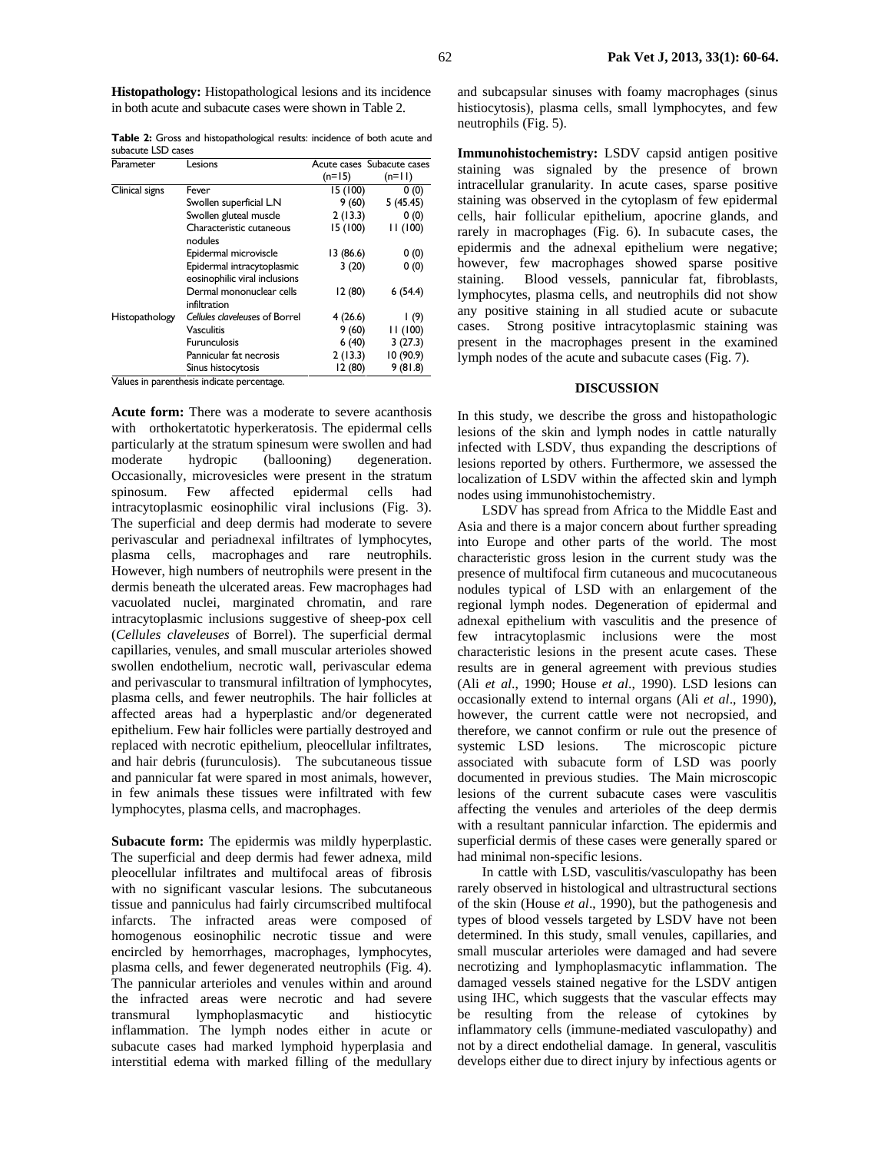**Histopathology:** Histopathological lesions and its incidence in both acute and subacute cases were shown in Table 2.

**Table 2:** Gross and histopathological results: incidence of both acute and subacute LSD cases

| Parameter                                        | Lesions                                                               |           | Acute cases Subacute cases |
|--------------------------------------------------|-----------------------------------------------------------------------|-----------|----------------------------|
|                                                  |                                                                       | $(n=15)$  | $(n=11)$                   |
| Clinical signs                                   | Fever                                                                 | 15 (100)  | 0(0)                       |
|                                                  | Swollen superficial L.N                                               | 9(60)     | 5(45.45)                   |
|                                                  | Swollen gluteal muscle                                                | 2(13.3)   | 0(0)                       |
|                                                  | Characteristic cutaneous<br>nodules                                   | 15 (100)  | 11 (100)                   |
|                                                  | Epidermal microviscle                                                 | 13 (86.6) | 0(0)                       |
|                                                  | Epidermal intracytoplasmic<br>eosinophilic viral inclusions           | 3(20)     | 0(0)                       |
|                                                  | Dermal mononuclear cells<br>infiltration                              | 12(80)    | 6(54.4)                    |
| <b>Histopathology</b><br>$\overline{11}$<br>- 11 | Cellules claveleuses of Borrel                                        | 4(26.6)   | l (9)                      |
|                                                  | Vasculitis                                                            | 9(60)     | 11 (100)                   |
|                                                  | <b>Furunculosis</b>                                                   | 6(40)     | 3(27.3)                    |
|                                                  | Pannicular fat necrosis                                               | 2(13.3)   | 10 (90.9)                  |
|                                                  | Sinus histocytosis<br>the contract of the contract of the contract of | 12 (80)   | 9(81.8)                    |

Values in parenthesis indicate percentage.

**Acute form:** There was a moderate to severe acanthosis with orthokertatotic hyperkeratosis. The epidermal cells particularly at the stratum spinesum were swollen and had moderate hydropic (ballooning) degeneration. Occasionally, microvesicles were present in the stratum spinosum. Few affected epidermal cells had intracytoplasmic eosinophilic viral inclusions (Fig. 3). The superficial and deep dermis had moderate to severe perivascular and periadnexal infiltrates of lymphocytes, plasma cells, macrophages and rare neutrophils. However, high numbers of neutrophils were present in the dermis beneath the ulcerated areas. Few macrophages had vacuolated nuclei, marginated chromatin, and rare intracytoplasmic inclusions suggestive of sheep-pox cell (*Cellules claveleuses* of Borrel). The superficial dermal capillaries, venules, and small muscular arterioles showed swollen endothelium, necrotic wall, perivascular edema and perivascular to transmural infiltration of lymphocytes, plasma cells, and fewer neutrophils. The hair follicles at affected areas had a hyperplastic and/or degenerated epithelium. Few hair follicles were partially destroyed and replaced with necrotic epithelium, pleocellular infiltrates, and hair debris (furunculosis). The subcutaneous tissue and pannicular fat were spared in most animals, however, in few animals these tissues were infiltrated with few lymphocytes, plasma cells, and macrophages.

**Subacute form:** The epidermis was mildly hyperplastic. The superficial and deep dermis had fewer adnexa, mild pleocellular infiltrates and multifocal areas of fibrosis with no significant vascular lesions. The subcutaneous tissue and panniculus had fairly circumscribed multifocal infarcts. The infracted areas were composed of homogenous eosinophilic necrotic tissue and were encircled by hemorrhages, macrophages, lymphocytes, plasma cells, and fewer degenerated neutrophils (Fig. 4). The pannicular arterioles and venules within and around the infracted areas were necrotic and had severe transmural lymphoplasmacytic and histiocytic inflammation. The lymph nodes either in acute or subacute cases had marked lymphoid hyperplasia and interstitial edema with marked filling of the medullary

and subcapsular sinuses with foamy macrophages (sinus histiocytosis), plasma cells, small lymphocytes, and few neutrophils (Fig. 5).

**Immunohistochemistry:** LSDV capsid antigen positive staining was signaled by the presence of brown intracellular granularity. In acute cases, sparse positive staining was observed in the cytoplasm of few epidermal cells, hair follicular epithelium, apocrine glands, and rarely in macrophages (Fig. 6). In subacute cases, the epidermis and the adnexal epithelium were negative; however, few macrophages showed sparse positive staining. Blood vessels, pannicular fat, fibroblasts, lymphocytes, plasma cells, and neutrophils did not show any positive staining in all studied acute or subacute cases. Strong positive intracytoplasmic staining was present in the macrophages present in the examined lymph nodes of the acute and subacute cases (Fig. 7).

### **DISCUSSION**

In this study, we describe the gross and histopathologic lesions of the skin and lymph nodes in cattle naturally infected with LSDV, thus expanding the descriptions of lesions reported by others. Furthermore, we assessed the localization of LSDV within the affected skin and lymph nodes using immunohistochemistry.

LSDV has spread from Africa to the Middle East and Asia and there is a major concern about further spreading into Europe and other parts of the world. The most characteristic gross lesion in the current study was the presence of multifocal firm cutaneous and mucocutaneous nodules typical of LSD with an enlargement of the regional lymph nodes. Degeneration of epidermal and adnexal epithelium with vasculitis and the presence of few intracytoplasmic inclusions were the most characteristic lesions in the present acute cases. These results are in general agreement with previous studies (Ali *et al*., 1990; House *et al*., 1990). LSD lesions can occasionally extend to internal organs (Ali *et al*., 1990), however, the current cattle were not necropsied, and therefore, we cannot confirm or rule out the presence of systemic LSD lesions. The microscopic picture associated with subacute form of LSD was poorly documented in previous studies. The Main microscopic lesions of the current subacute cases were vasculitis affecting the venules and arterioles of the deep dermis with a resultant pannicular infarction. The epidermis and superficial dermis of these cases were generally spared or had minimal non-specific lesions.

In cattle with LSD, vasculitis/vasculopathy has been rarely observed in histological and ultrastructural sections of the skin (House *et al*., 1990), but the pathogenesis and types of blood vessels targeted by LSDV have not been determined. In this study, small venules, capillaries, and small muscular arterioles were damaged and had severe necrotizing and lymphoplasmacytic inflammation. The damaged vessels stained negative for the LSDV antigen using IHC, which suggests that the vascular effects may be resulting from the release of cytokines by inflammatory cells (immune-mediated vasculopathy) and not by a direct endothelial damage. In general, vasculitis develops either due to direct injury by infectious agents or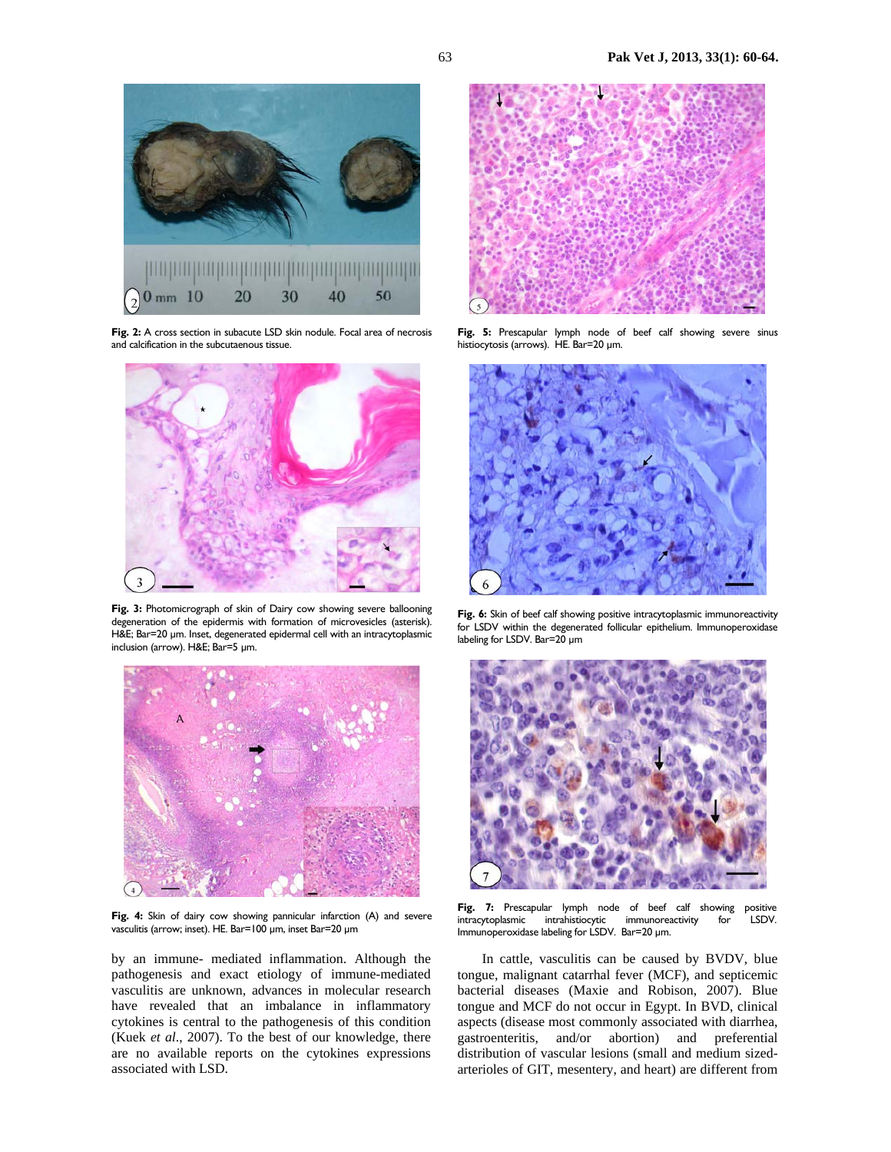

Fig. 2: A cross section in subacute LSD skin nodule. Focal area of necrosis and calcification in the subcutaenous tissue.



**Fig. 3:** Photomicrograph of skin of Dairy cow showing severe ballooning degeneration of the epidermis with formation of microvesicles (asterisk). H&E; Bar=20 µm. Inset, degenerated epidermal cell with an intracytoplasmic inclusion (arrow). H&E; Bar=5 µm.



Fig. 4: Skin of dairy cow showing pannicular infarction (A) and severe vasculitis (arrow; inset). HE. Bar=100 µm, inset Bar=20 µm

by an immune- mediated inflammation. Although the pathogenesis and exact etiology of immune-mediated vasculitis are unknown, advances in molecular research have revealed that an imbalance in inflammatory cytokines is central to the pathogenesis of this condition (Kuek *et al*., 2007). To the best of our knowledge, there are no available reports on the cytokines expressions associated with LSD.



**Fig. 5:** Prescapular lymph node of beef calf showing severe sinus histiocytosis (arrows). HE. Bar=20 µm.



Fig. 6: Skin of beef calf showing positive intracytoplasmic immunoreactivity for LSDV within the degenerated follicular epithelium. Immunoperoxidase labeling for LSDV. Bar=20 µm



Fig. 7: Prescapular lymph node of beef calf showing positive intracytoplasmic intrahistiocytic immunoreactivity for LSDV. Immunoperoxidase labeling for LSDV. Bar=20 µm.

In cattle, vasculitis can be caused by BVDV, blue tongue, malignant catarrhal fever (MCF), and septicemic bacterial diseases (Maxie and Robison, 2007). Blue tongue and MCF do not occur in Egypt. In BVD, clinical aspects (disease most commonly associated with diarrhea, gastroenteritis, and/or abortion) and preferential distribution of vascular lesions (small and medium sizedarterioles of GIT, mesentery, and heart) are different from